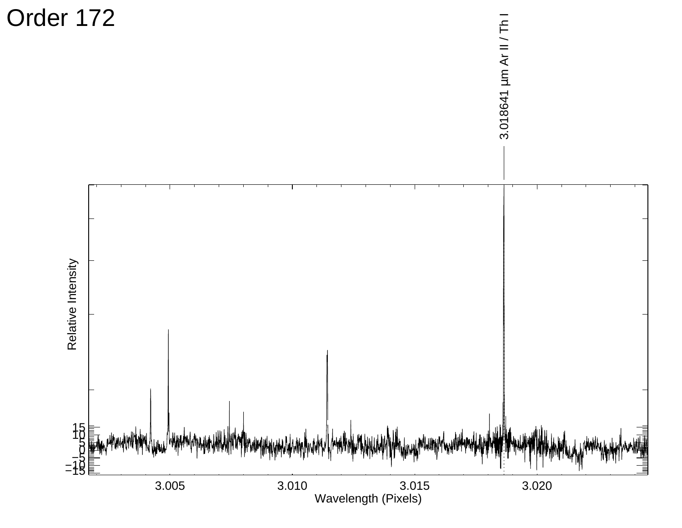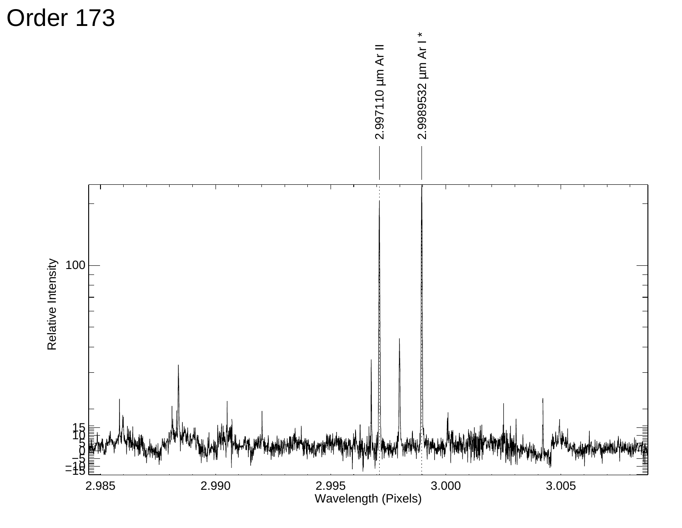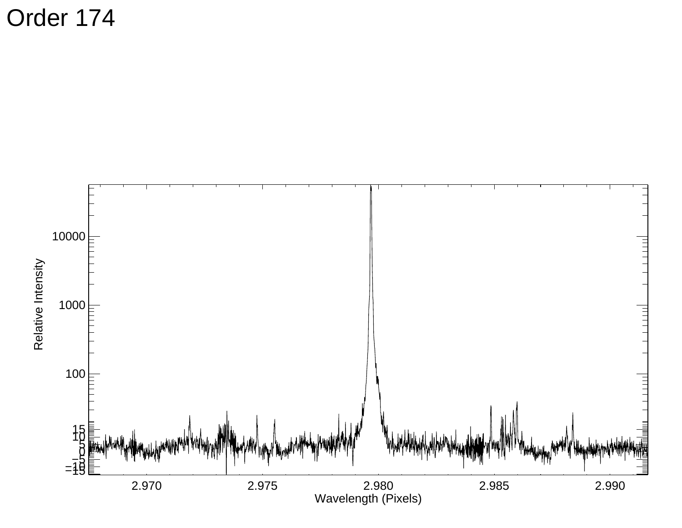Order 174

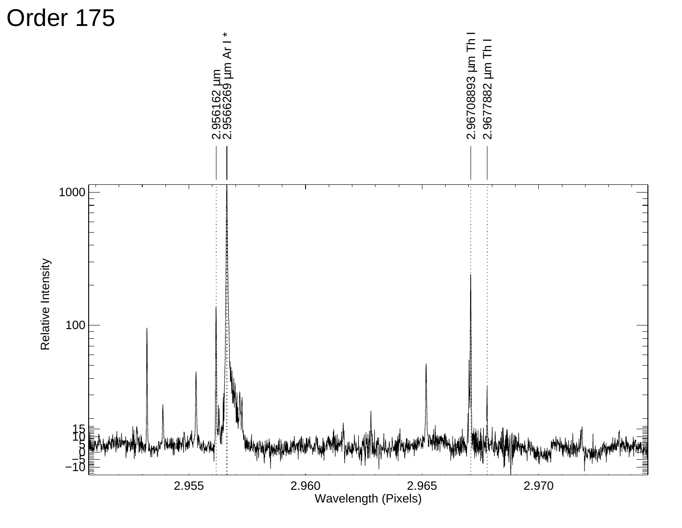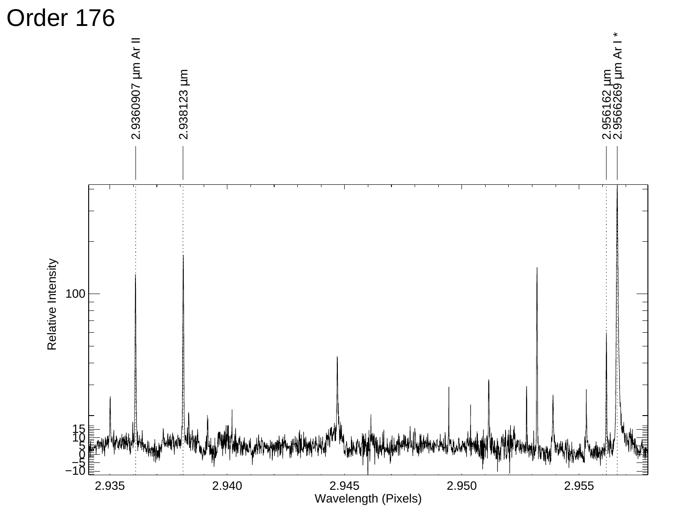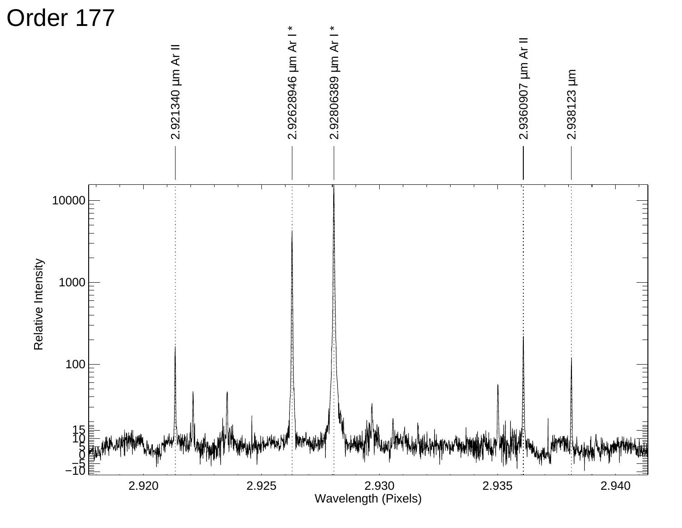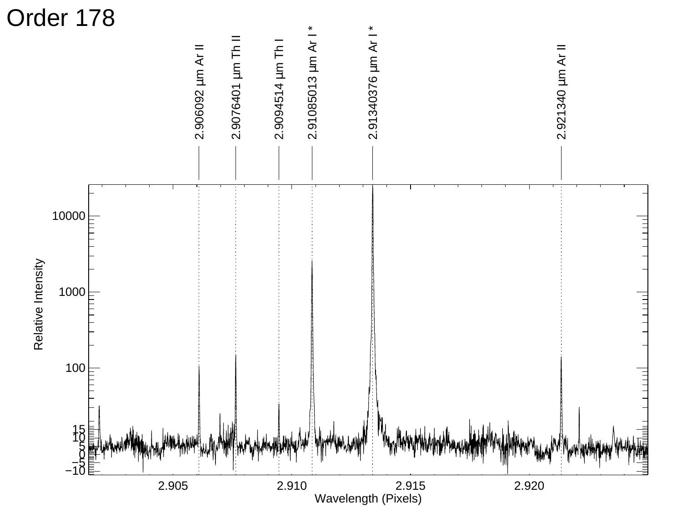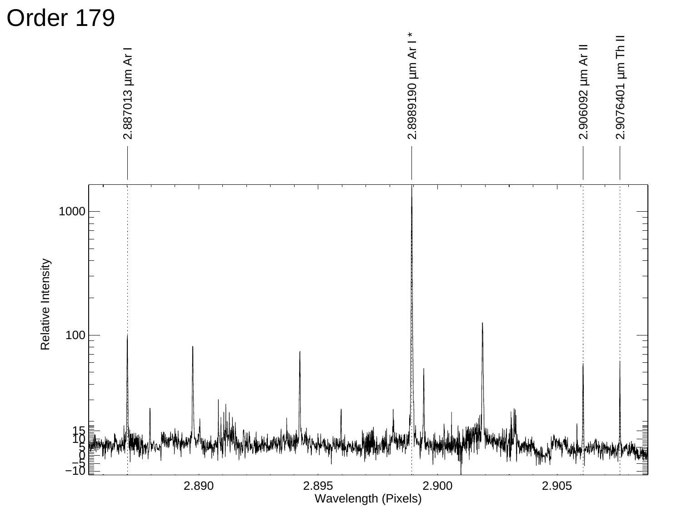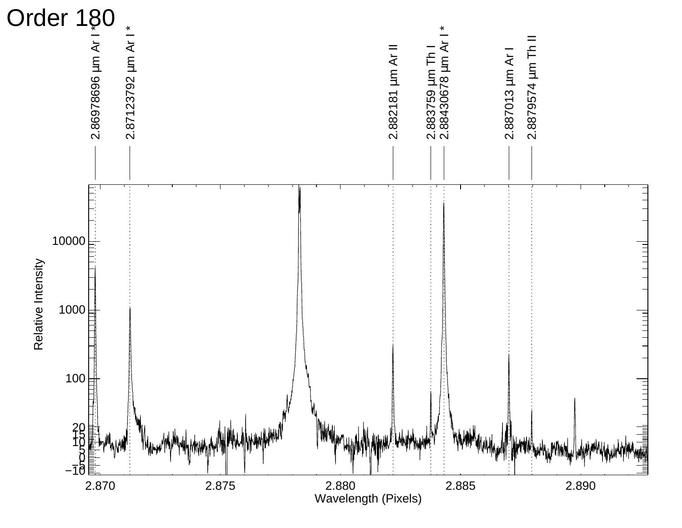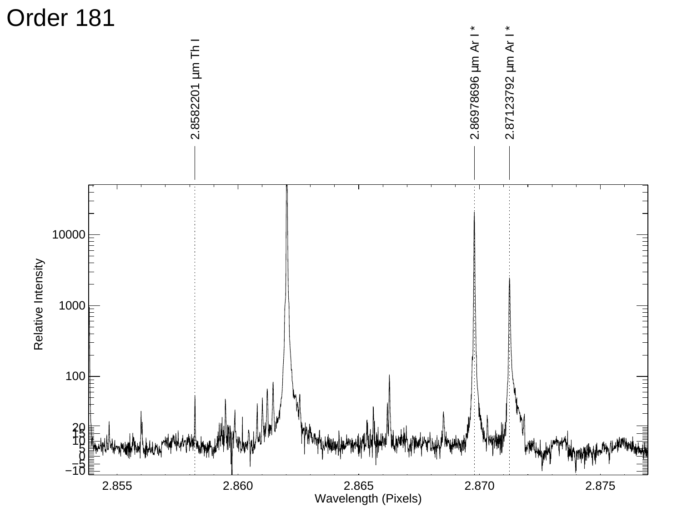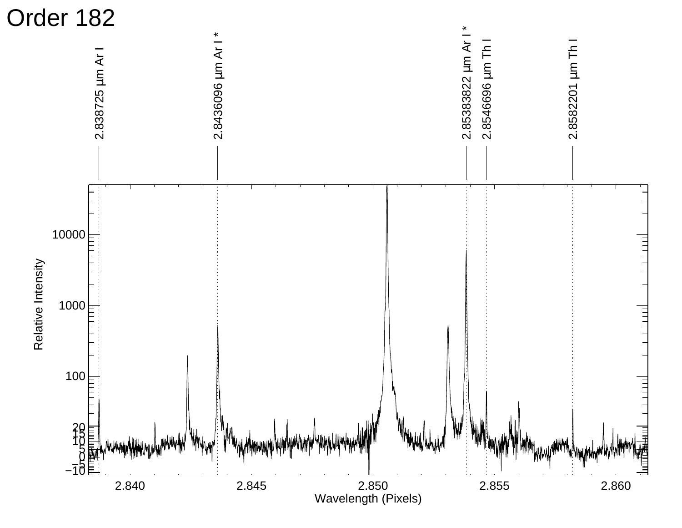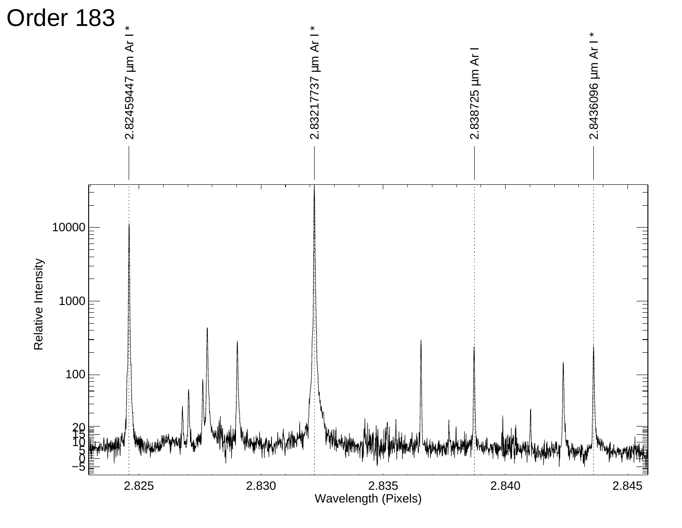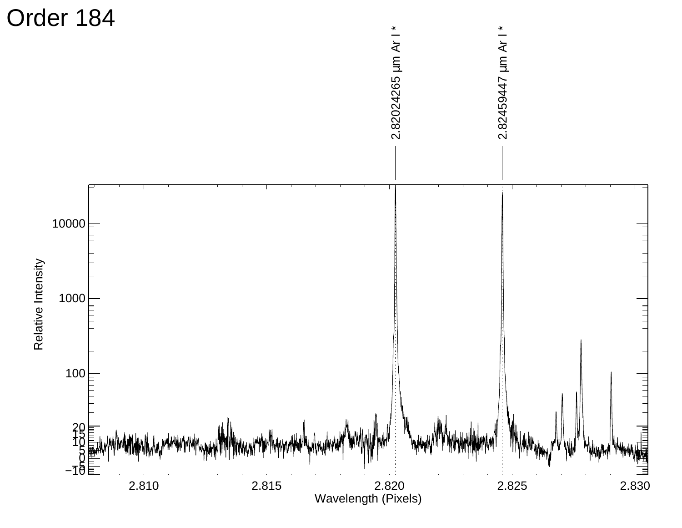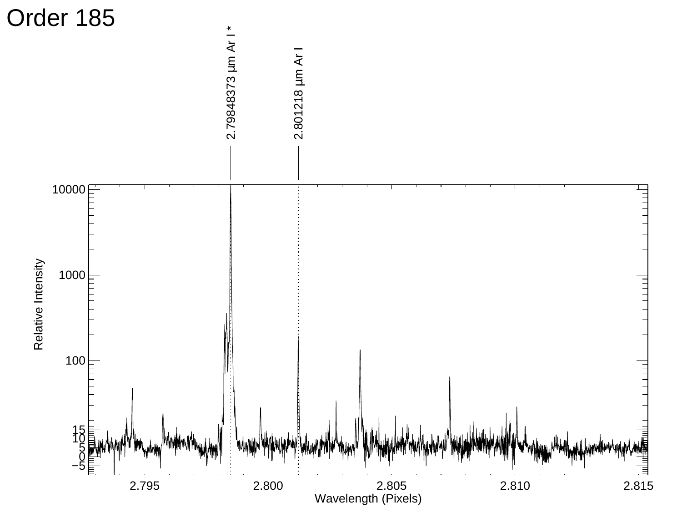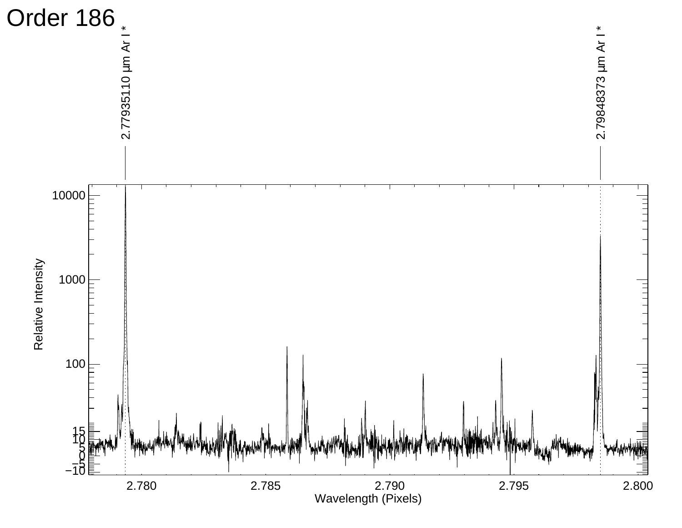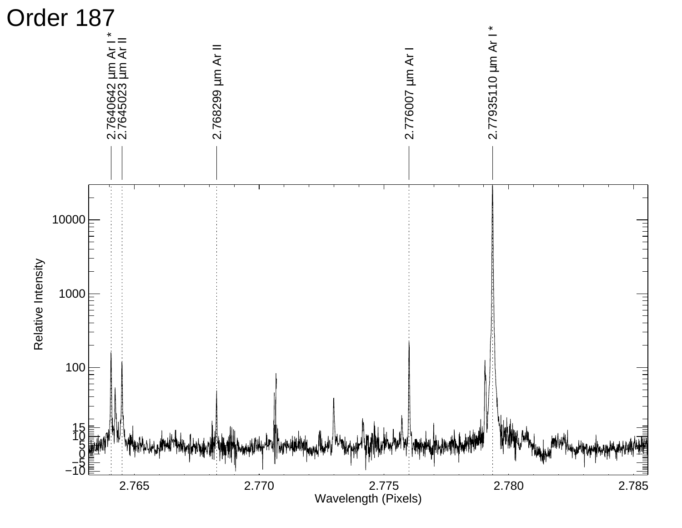